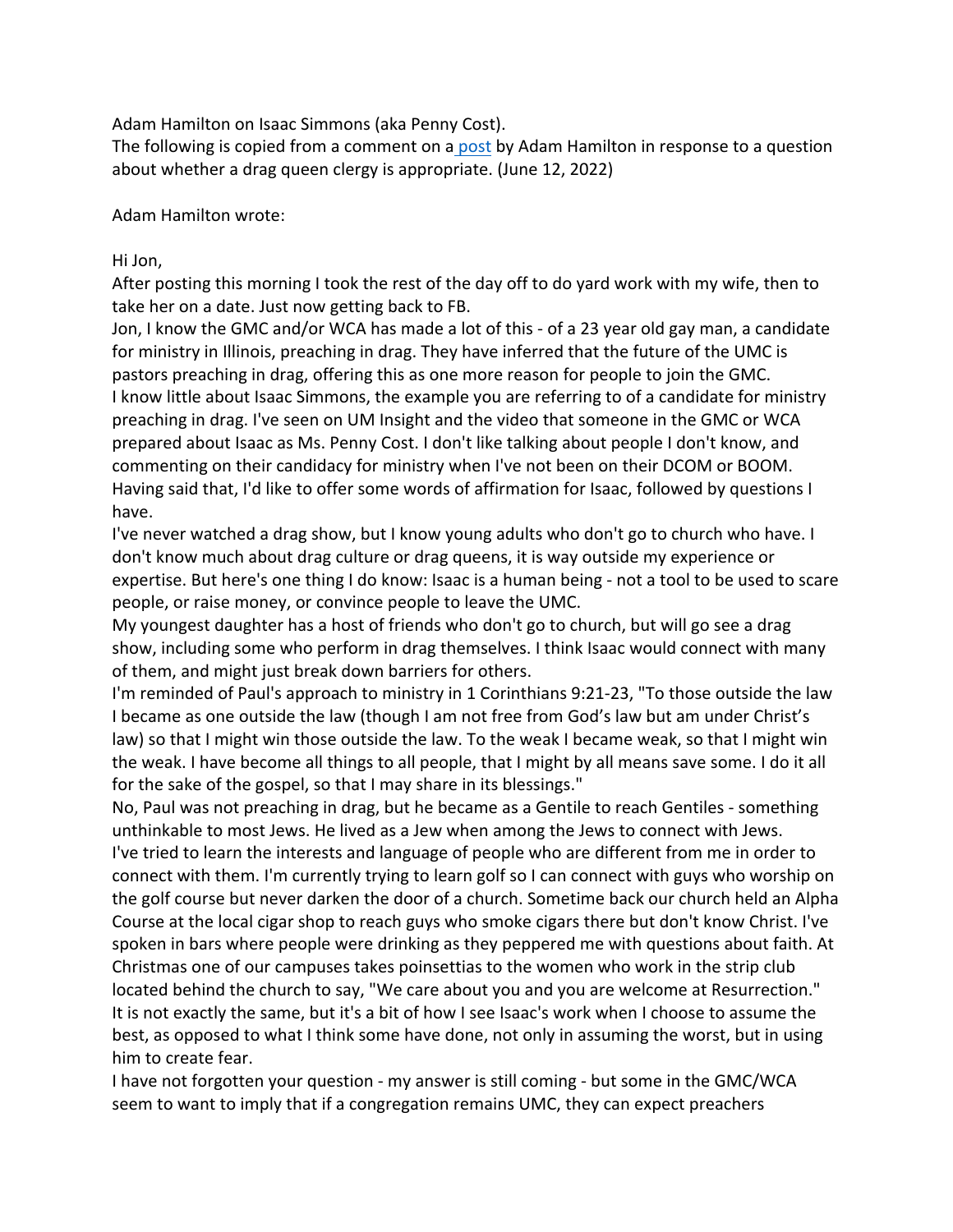Adam Hamilton on Isaac Simmons (aka Penny Cost).

The following is copied from a comment on a post by Adam Hamilton in response to a question about whether a drag queen clergy is appropriate. (June 12, 2022)

Adam Hamilton wrote:

## Hi Jon,

After posting this morning I took the rest of the day off to do yard work with my wife, then to take her on a date. Just now getting back to FB.

Jon, I know the GMC and/or WCA has made a lot of this - of a 23 year old gay man, a candidate for ministry in Illinois, preaching in drag. They have inferred that the future of the UMC is pastors preaching in drag, offering this as one more reason for people to join the GMC. I know little about Isaac Simmons, the example you are referring to of a candidate for ministry preaching in drag. I've seen on UM Insight and the video that someone in the GMC or WCA prepared about Isaac as Ms. Penny Cost. I don't like talking about people I don't know, and commenting on their candidacy for ministry when I've not been on their DCOM or BOOM. Having said that, I'd like to offer some words of affirmation for Isaac, followed by questions I have.

I've never watched a drag show, but I know young adults who don't go to church who have. I don't know much about drag culture or drag queens, it is way outside my experience or expertise. But here's one thing I do know: Isaac is a human being - not a tool to be used to scare people, or raise money, or convince people to leave the UMC.

My youngest daughter has a host of friends who don't go to church, but will go see a drag show, including some who perform in drag themselves. I think Isaac would connect with many of them, and might just break down barriers for others.

I'm reminded of Paul's approach to ministry in 1 Corinthians 9:21-23, "To those outside the law I became as one outside the law (though I am not free from God's law but am under Christ's law) so that I might win those outside the law. To the weak I became weak, so that I might win the weak. I have become all things to all people, that I might by all means save some. I do it all for the sake of the gospel, so that I may share in its blessings."

No, Paul was not preaching in drag, but he became as a Gentile to reach Gentiles - something unthinkable to most Jews. He lived as a Jew when among the Jews to connect with Jews. I've tried to learn the interests and language of people who are different from me in order to connect with them. I'm currently trying to learn golf so I can connect with guys who worship on the golf course but never darken the door of a church. Sometime back our church held an Alpha Course at the local cigar shop to reach guys who smoke cigars there but don't know Christ. I've spoken in bars where people were drinking as they peppered me with questions about faith. At Christmas one of our campuses takes poinsettias to the women who work in the strip club located behind the church to say, "We care about you and you are welcome at Resurrection." It is not exactly the same, but it's a bit of how I see Isaac's work when I choose to assume the best, as opposed to what I think some have done, not only in assuming the worst, but in using him to create fear.

I have not forgotten your question - my answer is still coming - but some in the GMC/WCA seem to want to imply that if a congregation remains UMC, they can expect preachers